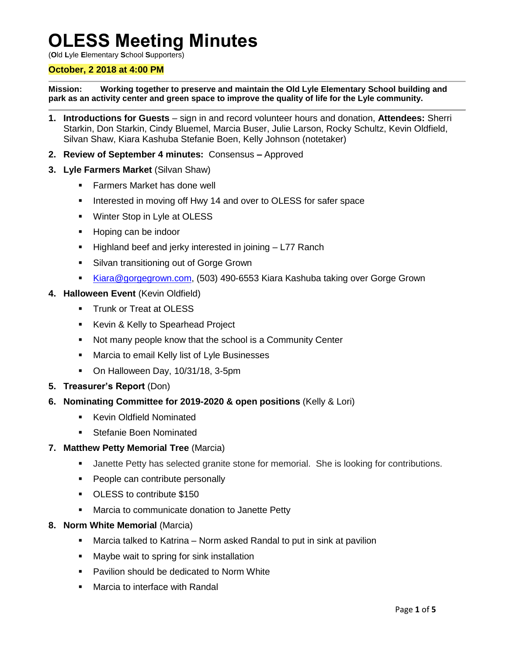# **OLESS Meeting Minutes**

(**O**ld **L**yle **E**lementary **S**chool **S**upporters)

## **October, 2 2018 at 4:00 PM**

**Mission: Working together to preserve and maintain the Old Lyle Elementary School building and park as an activity center and green space to improve the quality of life for the Lyle community.**

- **1. Introductions for Guests**  sign in and record volunteer hours and donation, **Attendees:** Sherri Starkin, Don Starkin, Cindy Bluemel, Marcia Buser, Julie Larson, Rocky Schultz, Kevin Oldfield, Silvan Shaw, Kiara Kashuba Stefanie Boen, Kelly Johnson (notetaker)
- **2. Review of September 4 minutes:** Consensus **–** Approved
- **3. Lyle Farmers Market** (Silvan Shaw)
	- Farmers Market has done well
	- Interested in moving off Hwy 14 and over to OLESS for safer space
	- **Winter Stop in Lyle at OLESS**
	- **Hoping can be indoor**
	- **Highland beef and jerky interested in joining**  $-$  **L77 Ranch**
	- **Silvan transitioning out of Gorge Grown**
	- [Kiara@gorgegrown.com,](mailto:Kiara@gorgegrown.com) (503) 490-6553 Kiara Kashuba taking over Gorge Grown
- **4. Halloween Event** (Kevin Oldfield)
	- **Trunk or Treat at OLESS**
	- Kevin & Kelly to Spearhead Project
	- Not many people know that the school is a Community Center
	- **Marcia to email Kelly list of Lyle Businesses**
	- On Halloween Day, 10/31/18, 3-5pm
- **5. Treasurer's Report** (Don)
- **6. Nominating Committee for 2019-2020 & open positions** (Kelly & Lori)
	- **Kevin Oldfield Nominated**
	- **Stefanie Boen Nominated**
- **7. Matthew Petty Memorial Tree** (Marcia)
	- **Janette Petty has selected granite stone for memorial. She is looking for contributions.**
	- **People can contribute personally**
	- OLESS to contribute \$150
	- **Marcia to communicate donation to Janette Petty**
- **8. Norm White Memorial** (Marcia)
	- Marcia talked to Katrina Norm asked Randal to put in sink at pavilion
	- **Maybe wait to spring for sink installation**
	- **Pavilion should be dedicated to Norm White**
	- Marcia to interface with Randal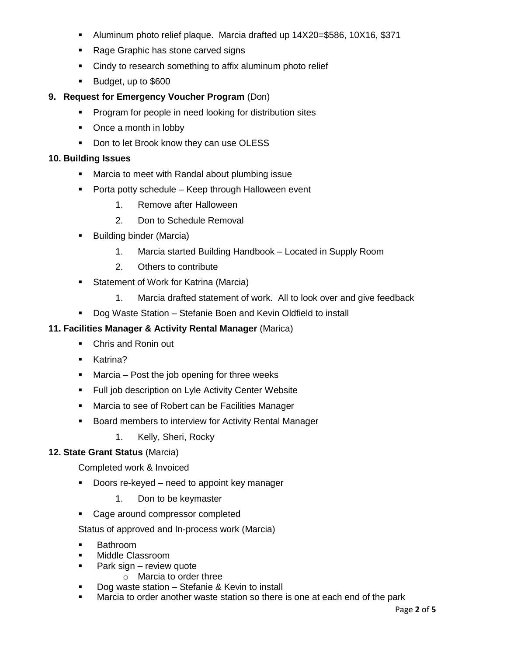- Aluminum photo relief plaque. Marcia drafted up 14X20=\$586, 10X16, \$371
- Rage Graphic has stone carved signs
- Cindy to research something to affix aluminum photo relief
- Budget, up to \$600

# **9. Request for Emergency Voucher Program** (Don)

- **Program for people in need looking for distribution sites**
- Once a month in lobby
- Don to let Brook know they can use OLESS

## **10. Building Issues**

- **Marcia to meet with Randal about plumbing issue**
- **Porta potty schedule Keep through Halloween event** 
	- 1. Remove after Halloween
	- 2. Don to Schedule Removal
- **Building binder (Marcia)** 
	- 1. Marcia started Building Handbook Located in Supply Room
	- 2. Others to contribute
- **Statement of Work for Katrina (Marcia)** 
	- 1. Marcia drafted statement of work. All to look over and give feedback
- Dog Waste Station Stefanie Boen and Kevin Oldfield to install

# **11. Facilities Manager & Activity Rental Manager** (Marica)

- Chris and Ronin out
- **Katrina?**
- $\blacksquare$  Marcia Post the job opening for three weeks
- **Full job description on Lyle Activity Center Website**
- **Marcia to see of Robert can be Facilities Manager**
- **Board members to interview for Activity Rental Manager** 
	- 1. Kelly, Sheri, Rocky

# **12. State Grant Status** (Marcia)

Completed work & Invoiced

- Doors re-keyed need to appoint key manager
	- 1. Don to be keymaster
- Cage around compressor completed

Status of approved and In-process work (Marcia)

- Bathroom
- Middle Classroom
- **Park sign review quote** 
	- o Marcia to order three
- Dog waste station Stefanie & Kevin to install
- Marcia to order another waste station so there is one at each end of the park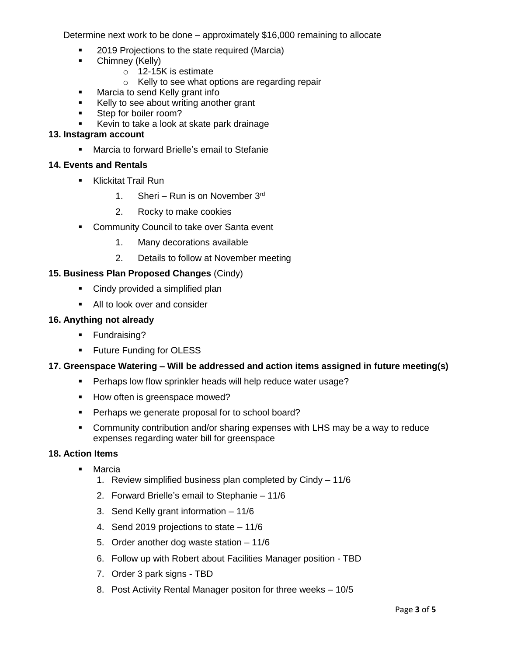Determine next work to be done – approximately \$16,000 remaining to allocate

- 2019 Projections to the state required (Marcia)
- **•** Chimney (Kelly)
	- o 12-15K is estimate
	- o Kelly to see what options are regarding repair
- Marcia to send Kelly grant info
- Kelly to see about writing another grant
- Step for boiler room?
- Kevin to take a look at skate park drainage

### **13. Instagram account**

**Marcia to forward Brielle's email to Stefanie** 

## **14. Events and Rentals**

- **Klickitat Trail Run** 
	- 1. Sheri Run is on November 3rd
	- 2. Rocky to make cookies
- **Community Council to take over Santa event** 
	- 1. Many decorations available
	- 2. Details to follow at November meeting

# **15. Business Plan Proposed Changes** (Cindy)

- Cindy provided a simplified plan
- All to look over and consider

### **16. Anything not already**

- **Fundraising?**
- **Future Funding for OLESS**

### **17. Greenspace Watering – Will be addressed and action items assigned in future meeting(s)**

- **Perhaps low flow sprinkler heads will help reduce water usage?**
- How often is greenspace mowed?
- **Perhaps we generate proposal for to school board?**
- Community contribution and/or sharing expenses with LHS may be a way to reduce expenses regarding water bill for greenspace

### **18. Action Items**

- **•** Marcia
	- 1. Review simplified business plan completed by Cindy 11/6
	- 2. Forward Brielle's email to Stephanie 11/6
	- 3. Send Kelly grant information 11/6
	- 4. Send 2019 projections to state 11/6
	- 5. Order another dog waste station 11/6
	- 6. Follow up with Robert about Facilities Manager position TBD
	- 7. Order 3 park signs TBD
	- 8. Post Activity Rental Manager positon for three weeks 10/5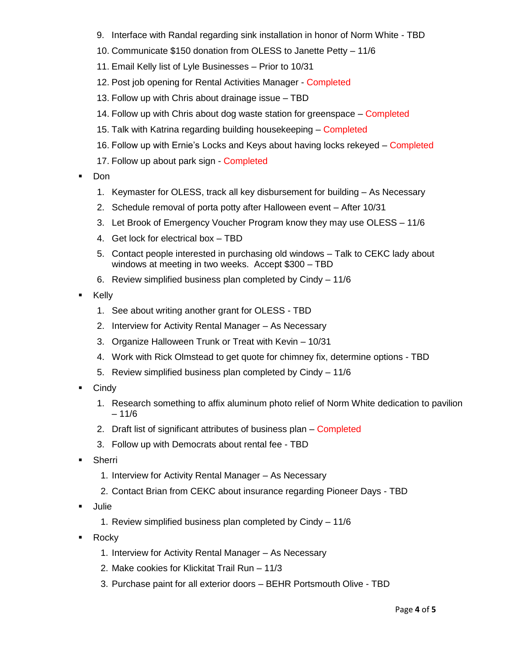- 9. Interface with Randal regarding sink installation in honor of Norm White TBD
- 10. Communicate \$150 donation from OLESS to Janette Petty 11/6
- 11. Email Kelly list of Lyle Businesses Prior to 10/31
- 12. Post job opening for Rental Activities Manager Completed
- 13. Follow up with Chris about drainage issue TBD
- 14. Follow up with Chris about dog waste station for greenspace Completed
- 15. Talk with Katrina regarding building housekeeping Completed
- 16. Follow up with Ernie's Locks and Keys about having locks rekeyed Completed
- 17. Follow up about park sign Completed
- Don
	- 1. Keymaster for OLESS, track all key disbursement for building As Necessary
	- 2. Schedule removal of porta potty after Halloween event After 10/31
	- 3. Let Brook of Emergency Voucher Program know they may use OLESS 11/6
	- 4. Get lock for electrical box TBD
	- 5. Contact people interested in purchasing old windows Talk to CEKC lady about windows at meeting in two weeks. Accept \$300 – TBD
	- 6. Review simplified business plan completed by Cindy 11/6
- **E** Kelly
	- 1. See about writing another grant for OLESS TBD
	- 2. Interview for Activity Rental Manager As Necessary
	- 3. Organize Halloween Trunk or Treat with Kevin 10/31
	- 4. Work with Rick Olmstead to get quote for chimney fix, determine options TBD
	- 5. Review simplified business plan completed by Cindy 11/6
- **Cindy** 
	- 1. Research something to affix aluminum photo relief of Norm White dedication to pavilion  $-11/6$
	- 2. Draft list of significant attributes of business plan Completed
	- 3. Follow up with Democrats about rental fee TBD
- Sherri
	- 1. Interview for Activity Rental Manager As Necessary
	- 2. Contact Brian from CEKC about insurance regarding Pioneer Days TBD
- Julie
	- 1. Review simplified business plan completed by Cindy 11/6
- **-** Rocky
	- 1. Interview for Activity Rental Manager As Necessary
	- 2. Make cookies for Klickitat Trail Run 11/3
	- 3. Purchase paint for all exterior doors BEHR Portsmouth Olive TBD